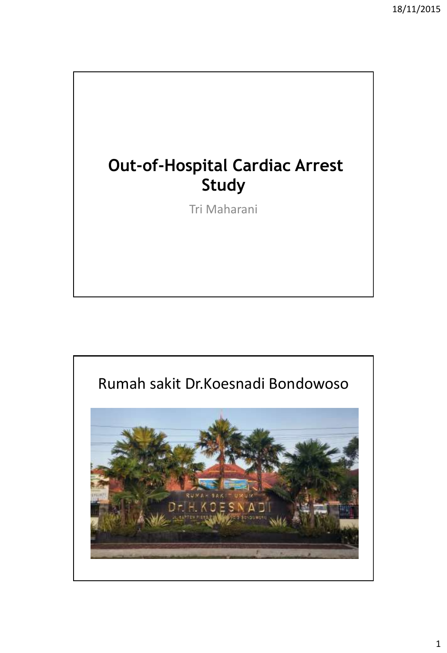## **Out-of-Hospital Cardiac Arrest Study**

Tri Maharani

## Rumah sakit Dr.Koesnadi Bondowoso

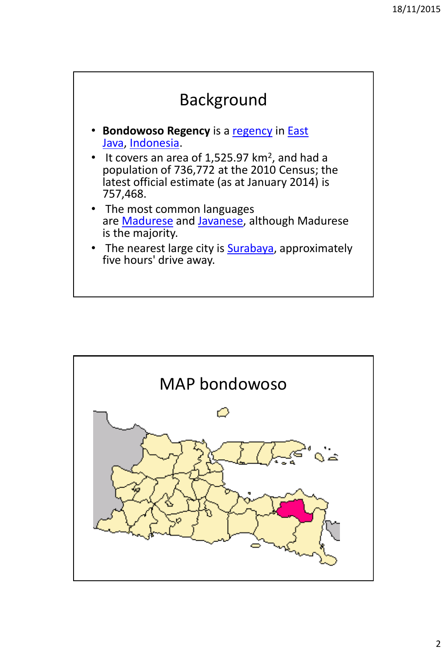

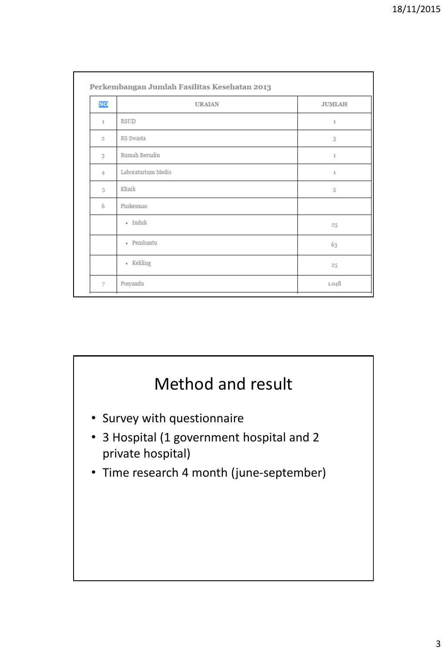| NO             | <b>URAIAN</b>         | <b>JUMLAH</b> |
|----------------|-----------------------|---------------|
| $\mathbf{1}$   | <b>RSUD</b>           | $\mathbf{1}$  |
| $\overline{2}$ | RS Swasta             | 3             |
| 3              | <b>Rumah Bersalin</b> | $\mathbf{1}$  |
| 4              | Laboraturium Medis    | $\mathbf{1}$  |
| 5              | Klinik                | 5             |
| 6              | Puskesmas             |               |
|                | - Induk               | 25            |
|                | • Pembantu            | 63            |
|                | $\bullet$ Keliling    | 25            |
| 7              | Posyandu              | 1.048         |

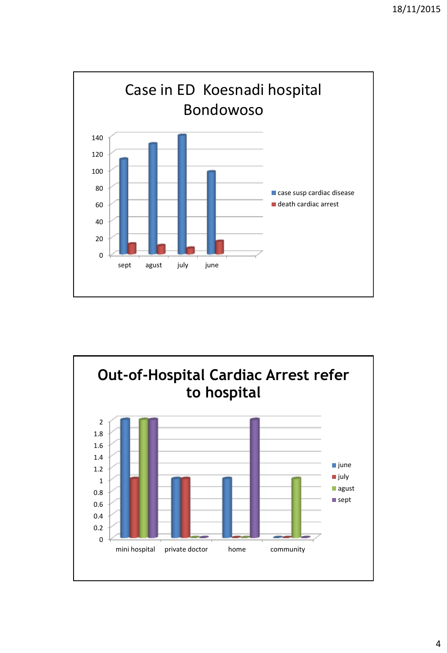

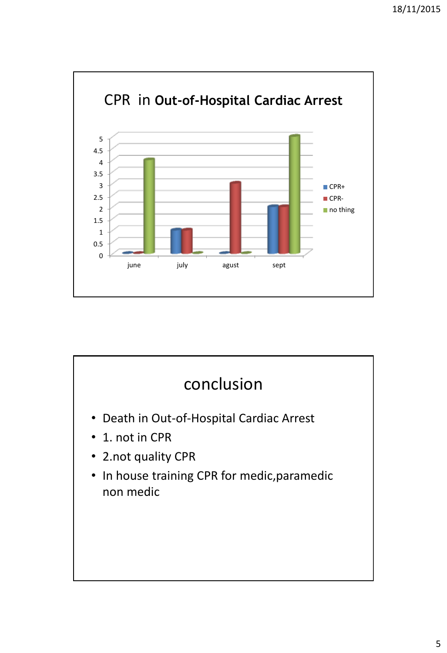

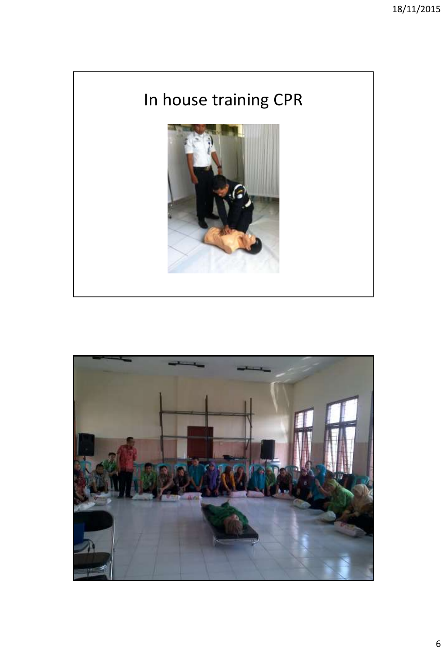

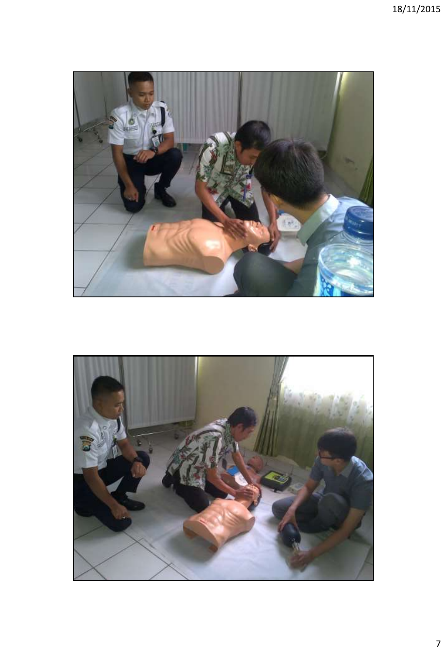

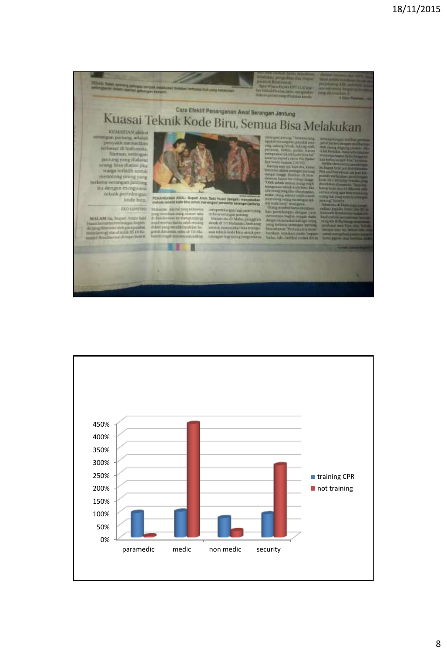



8